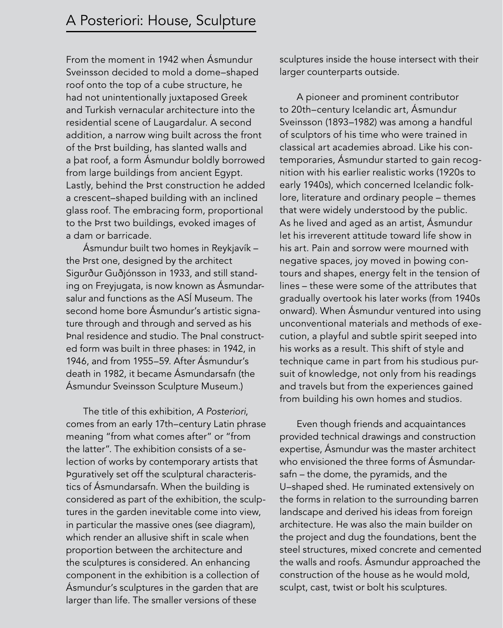From the moment in 1942 when Ásmundur Sveinsson decided to mold a dome–shaped roof onto the top of a cube structure, he had not unintentionally juxtaposed Greek and Turkish vernacular architecture into the residential scene of Laugardalur. A second addition, a narrow wing built across the front of the Þrst building, has slanted walls and a bat roof, a form Ásmundur boldly borrowed from large buildings from ancient Egypt. Lastly, behind the Þrst construction he added a crescent–shaped building with an inclined glass roof. The embracing form, proportional to the Þrst two buildings, evoked images of a dam or barricade.

Ásmundur built two homes in Reykjavík – the Prst one, designed by the architect Sigurður Guðjónsson in 1933, and still standing on Freyjugata, is now known as Ásmundarsalur and functions as the ASÍ Museum. The second home bore Ásmundur's artistic signature through and through and served as his final residence and studio. The final constructed form was built in three phases: in 1942, in 1946, and from 1955–59. After Ásmundur's death in 1982, it became Ásmundarsafn (the Ásmundur Sveinsson Sculpture Museum.)

The title of this exhibition, A Posteriori, comes from an early 17th–century Latin phrase meaning "from what comes after" or "from the latter". The exhibition consists of a selection of works by contemporary artists that figuratively set off the sculptural characteristics of Ásmundarsafn. When the building is considered as part of the exhibition, the sculptures in the garden inevitable come into view, in particular the massive ones (see diagram), which render an allusive shift in scale when proportion between the architecture and the sculptures is considered. An enhancing component in the exhibition is a collection of Ásmundur's sculptures in the garden that are larger than life. The smaller versions of these

sculptures inside the house intersect with their larger counterparts outside.

A pioneer and prominent contributor to 20th–century Icelandic art, Ásmundur Sveinsson (1893–1982) was among a handful of sculptors of his time who were trained in classical art academies abroad. Like his contemporaries, Ásmundur started to gain recognition with his earlier realistic works (1920s to early 1940s), which concerned Icelandic folklore, literature and ordinary people – themes that were widely understood by the public. As he lived and aged as an artist, Ásmundur let his irreverent attitude toward life show in his art. Pain and sorrow were mourned with negative spaces, joy moved in bowing contours and shapes, energy felt in the tension of lines – these were some of the attributes that gradually overtook his later works (from 1940s onward). When Ásmundur ventured into using unconventional materials and methods of execution, a playful and subtle spirit seeped into his works as a result. This shift of style and technique came in part from his studious pursuit of knowledge, not only from his readings and travels but from the experiences gained from building his own homes and studios.

Even though friends and acquaintances provided technical drawings and construction expertise, Ásmundur was the master architect who envisioned the three forms of Ásmundarsafn – the dome, the pyramids, and the U–shaped shed. He ruminated extensively on the forms in relation to the surrounding barren landscape and derived his ideas from foreign architecture. He was also the main builder on the project and dug the foundations, bent the steel structures, mixed concrete and cemented the walls and roofs. Ásmundur approached the construction of the house as he would mold, sculpt, cast, twist or bolt his sculptures.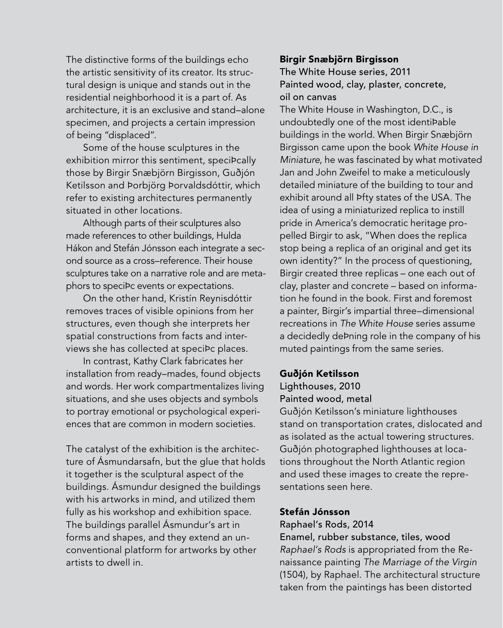The distinctive forms of the buildings echo the artistic sensitivity of its creator. Its structural design is unique and stands out in the residential neighborhood it is a part of. As architecture, it is an exclusive and stand–alone specimen, and projects a certain impression of being "displaced".

Some of the house sculptures in the exhibition mirror this sentiment, speciÞcally those by Birgir Snæbjörn Birgisson, Guðjón Ketilsson and Þorbjörg Þorvaldsdóttir, which refer to existing architectures permanently situated in other locations.

Although parts of their sculptures also made references to other buildings, Hulda Hákon and Stefán Jónsson each integrate a second source as a cross–reference. Their house sculptures take on a narrative role and are metaphors to specibc events or expectations.

On the other hand, Kristín Reynisdóttir removes traces of visible opinions from her structures, even though she interprets her spatial constructions from facts and interviews she has collected at specibc places.

In contrast, Kathy Clark fabricates her installation from ready–mades, found objects and words. Her work compartmentalizes living situations, and she uses objects and symbols to portray emotional or psychological experiences that are common in modern societies.

The catalyst of the exhibition is the architecture of Ásmundarsafn, but the glue that holds it together is the sculptural aspect of the buildings. Ásmundur designed the buildings with his artworks in mind, and utilized them fully as his workshop and exhibition space. The buildings parallel Ásmundur's art in forms and shapes, and they extend an unconventional platform for artworks by other artists to dwell in.

#### Birgir Snæbjörn Birgisson

## The White House series, 2011 Painted wood, clay, plaster, concrete, oil on canvas

The White House in Washington, D.C., is undoubtedly one of the most identiÞable buildings in the world. When Birgir Snæbjörn Birgisson came upon the book White House in Miniature, he was fascinated by what motivated Jan and John Zweifel to make a meticulously detailed miniature of the building to tour and exhibit around all **Pfty states of the USA**. The idea of using a miniaturized replica to instill pride in America's democratic heritage propelled Birgir to ask, "When does the replica stop being a replica of an original and get its own identity?" In the process of questioning, Birgir created three replicas – one each out of clay, plaster and concrete – based on information he found in the book. First and foremost a painter, Birgir's impartial three–dimensional recreations in The White House series assume a decidedly debning role in the company of his muted paintings from the same series.

#### Guðjón Ketilsson

## Lighthouses, 2010 Painted wood, metal

Guðjón Ketilsson's miniature lighthouses stand on transportation crates, dislocated and as isolated as the actual towering structures. Guðjón photographed lighthouses at locations throughout the North Atlantic region and used these images to create the representations seen here.

#### Stefán Jónsson

#### Raphael's Rods, 2014

Enamel, rubber substance, tiles, wood Raphael's Rods is appropriated from the Renaissance painting The Marriage of the Virgin (1504), by Raphael. The architectural structure taken from the paintings has been distorted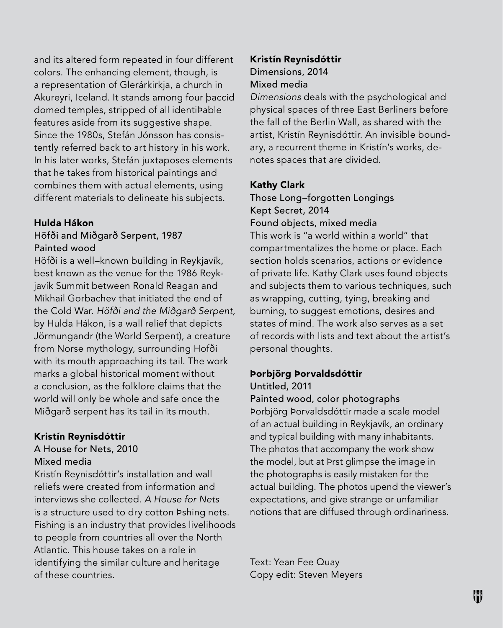and its altered form repeated in four different colors. The enhancing element, though, is a representation of Glerárkirkja, a church in Akureyri, Iceland. It stands among four baccid domed temples, stripped of all identibable features aside from its suggestive shape. Since the 1980s, Stefán Jónsson has consistently referred back to art history in his work. In his later works, Stefán juxtaposes elements that he takes from historical paintings and combines them with actual elements, using different materials to delineate his subjects.

#### Hulda Hákon

## Höfði and Miðgarð Serpent, 1987 Painted wood

Höfði is a well–known building in Reykjavík, best known as the venue for the 1986 Reykjavík Summit between Ronald Reagan and Mikhail Gorbachev that initiated the end of the Cold War. Höfði and the Miðgarð Serpent, by Hulda Hákon, is a wall relief that depicts Jörmungandr (the World Serpent), a creature from Norse mythology, surrounding Hofði with its mouth approaching its tail. The work marks a global historical moment without a conclusion, as the folklore claims that the world will only be whole and safe once the Miðgarð serpent has its tail in its mouth.

#### Kristín Reynisdóttir

#### A House for Nets, 2010 Mixed media

Kristín Reynisdóttir's installation and wall reliefs were created from information and interviews she collected. A House for Nets is a structure used to dry cotton Pshing nets. Fishing is an industry that provides livelihoods to people from countries all over the North Atlantic. This house takes on a role in identifying the similar culture and heritage of these countries.

## Kristín Reynisdóttir Dimensions, 2014 Mixed media

Dimensions deals with the psychological and physical spaces of three East Berliners before the fall of the Berlin Wall, as shared with the artist, Kristín Reynisdóttir. An invisible boundary, a recurrent theme in Kristín's works, denotes spaces that are divided.

#### Kathy Clark

Those Long–forgotten Longings Kept Secret, 2014

Found objects, mixed media

This work is "a world within a world" that compartmentalizes the home or place. Each section holds scenarios, actions or evidence of private life. Kathy Clark uses found objects and subjects them to various techniques, such as wrapping, cutting, tying, breaking and burning, to suggest emotions, desires and states of mind. The work also serves as a set of records with lists and text about the artist's personal thoughts.

#### Þorbjörg Þorvaldsdóttir

Untitled, 2011

Painted wood, color photographs Þorbjörg Þorvaldsdóttir made a scale model of an actual building in Reykjavík, an ordinary and typical building with many inhabitants. The photos that accompany the work show the model, but at Þrst glimpse the image in the photographs is easily mistaken for the actual building. The photos upend the viewer's expectations, and give strange or unfamiliar notions that are diffused through ordinariness.

Text: Yean Fee Quay Copy edit: Steven Meyers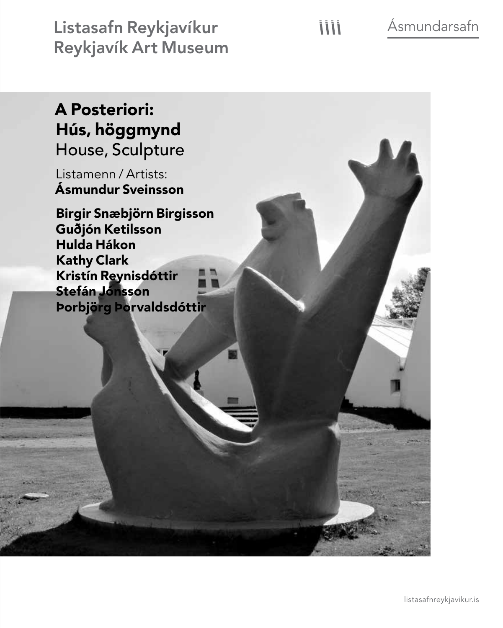Listasafn Reykjavíkur Reykjavík Art Museum Ásmundarsafn

# A Posteriori: Hús, höggmynd House, Sculpture

Listamenn / Artists: Ásmundur Sveinsson

Birgir Snæbjörn Birgisson Guðjón Ketilsson Hulda Hákon Kathy Clark Kristín Reynisdóttir Stefán Jónsson Þorbjörg Þorvaldsdóttir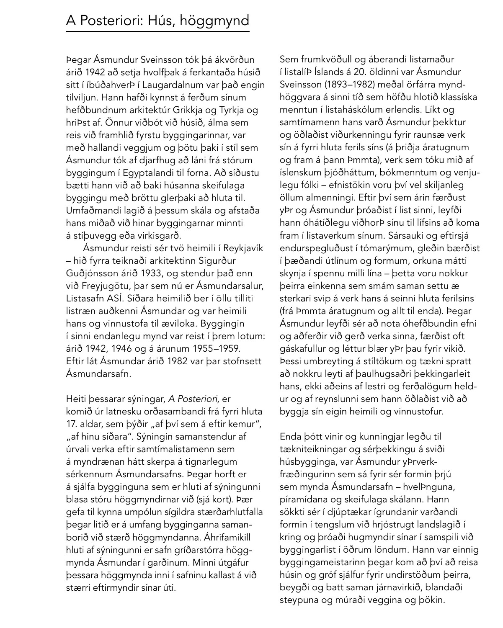Þegar Ásmundur Sveinsson tók þá ákvörðun árið 1942 að setja hvolfþak á ferkantaða húsið sitt í íbúðahverþ í Laugardalnum var það engin tilviljun. Hann hafði kynnst á ferðum sínum hefðbundnum arkitektúr Grikkja og Tyrkja og hriÞst af. Önnur viðbót við húsið, álma sem reis við framhlið fyrstu byggingarinnar, var með hallandi veggjum og bötu þaki í stíl sem Ásmundur tók af djarfhug að láni frá stórum byggingum í Egyptalandi til forna. Að síðustu bætti hann við að baki húsanna skeifulaga byggingu með bröttu glerþaki að hluta til. Umfaðmandi lagið á þessum skála og afstaða hans miðað við hinar byggingarnar minnti á stíbuvegg eða virkisgarð.

Ásmundur reisti sér tvö heimili í Reykjavík – hið fyrra teiknaði arkitektinn Sigurður Guðjónsson árið 1933, og stendur það enn við Freyjugötu, þar sem nú er Ásmundarsalur, Listasafn ASÍ. Síðara heimilið ber í öllu tilliti listræn auðkenni Ásmundar og var heimili hans og vinnustofa til æviloka. Byggingin í sinni endanlegu mynd var reist í þrem lotum: árið 1942, 1946 og á árunum 1955–1959. Eftir lát Ásmundar árið 1982 var þar stofnsett Ásmundarsafn.

Heiti þessarar sýningar, A Posteriori, er komið úr latnesku orðasambandi frá fyrri hluta 17. aldar, sem þýðir "af því sem á eftir kemur", "af hinu síðara". Sýningin samanstendur af úrvali verka eftir samtímalistamenn sem á myndrænan hátt skerpa á tignarlegum sérkennum Ásmundarsafns. Þegar horft er á sjálfa bygginguna sem er hluti af sýningunni blasa stóru höggmyndirnar við (sjá kort). Þær gefa til kynna umpólun sígildra stærðarhlutfalla þegar litið er á umfang bygginganna samanborið við stærð höggmyndanna. Áhrifamikill hluti af sýningunni er safn gríðarstórra höggmynda Ásmundar í garðinum. Minni útgáfur þessara höggmynda inni í safninu kallast á við stærri eftirmyndir sínar úti.

Sem frumkvöðull og áberandi listamaður í listalífi Íslands á 20. öldinni var Ásmundur Sveinsson (1893–1982) meðal örfárra myndhöggvara á sinni tíð sem höfðu hlotið klassíska menntun í listaháskólum erlendis. Líkt og samtímamenn hans varð Ásmundur þekktur og öðlaðist viðurkenningu fyrir raunsæ verk sín á fyrri hluta ferils síns (á þriðja áratugnum og fram á þann Þmmta), verk sem tóku mið af íslenskum þjóðháttum, bókmenntum og venjulegu fólki – efnistökin voru því vel skiljanleg öllum almenningi. Eftir því sem árin færðust yfir og Ásmundur þróaðist í list sinni, leyfði hann óhátíðlegu viðhorÞ sínu til lífsins að koma fram í listaverkum sínum. Sársauki og eftirsjá endurspegluðust í tómarýmum, gleðin bærðist í bæðandi útlínum og formum, orkuna mátti skynja í spennu milli lína – þetta voru nokkur þeirra einkenna sem smám saman settu æ sterkari svip á verk hans á seinni hluta ferilsins (frá Þmmta áratugnum og allt til enda). Þegar Ásmundur leyfði sér að nota óhefðbundin efni og aðferðir við gerð verka sinna, færðist oft gáskafullur og léttur blær yÞr þau fyrir vikið. Þessi umbreyting á stíltökum og tækni spratt að nokkru leyti af þaulhugsaðri þekkingarleit hans, ekki aðeins af lestri og ferðalögum heldur og af reynslunni sem hann öðlaðist við að byggja sín eigin heimili og vinnustofur.

Enda þótt vinir og kunningjar legðu til tækniteikningar og sérþekkingu á sviði húsbygginga, var Ásmundur yÞrverkfræðingurinn sem sá fyrir sér formin þrjú sem mynda Ásmundarsafn – hvelÞnguna, píramídana og skeifulaga skálann. Hann sökkti sér í djúptækar ígrundanir varðandi formin í tengslum við hrjóstrugt landslagið í kring og þróaði hugmyndir sínar í samspili við byggingarlist í öðrum löndum. Hann var einnig byggingameistarinn þegar kom að því að reisa húsin og gróf sjálfur fyrir undirstöðum þeirra, beygði og batt saman járnavirkið, blandaði steypuna og múraði veggina og þökin.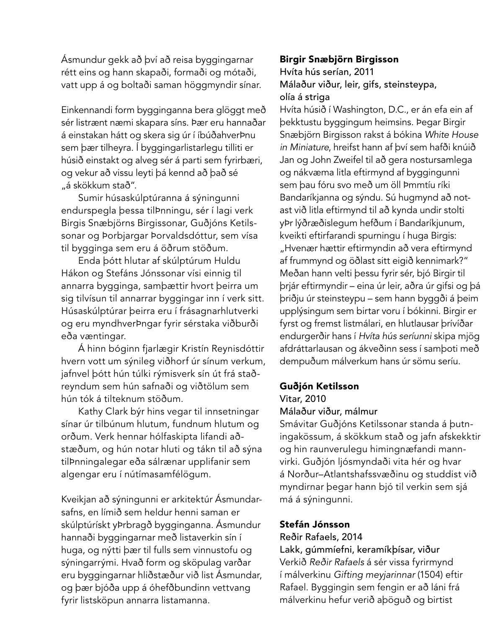Ásmundur gekk að því að reisa byggingarnar rétt eins og hann skapaði, formaði og mótaði, vatt upp á og boltaði saman höggmyndir sínar.

Einkennandi form bygginganna bera glöggt með sér listrænt næmi skapara síns. Þær eru hannaðar á einstakan hátt og skera sig úr í íbúðahverÞnu sem þær tilheyra. Í byggingarlistarlegu tilliti er húsið einstakt og alveg sér á parti sem fyrirbæri, og vekur að vissu leyti þá kennd að það sé "á skökkum stað".

Sumir húsaskúlptúranna á sýningunni endurspegla þessa tilÞnningu, sér í lagi verk Birgis Snæbjörns Birgissonar, Guðjóns Ketilssonar og Þorbjargar Þorvaldsdóttur, sem vísa til bygginga sem eru á öðrum stöðum.

Enda þótt hlutar af skúlptúrum Huldu Hákon og Stefáns Jónssonar vísi einnig til annarra bygginga, samþættir hvort þeirra um sig tilvísun til annarrar byggingar inn í verk sitt. Húsaskúlptúrar þeirra eru í frásagnarhlutverki og eru myndhverþngar fyrir sérstaka viðburði eða væntingar.

Á hinn bóginn fjarlægir Kristín Reynisdóttir hvern vott um sýnileg viðhorf úr sínum verkum, jafnvel þótt hún túlki rýmisverk sín út frá staðreyndum sem hún safnaði og viðtölum sem hún tók á tilteknum stöðum.

Kathy Clark býr hins vegar til innsetningar sínar úr tilbúnum hlutum, fundnum hlutum og orðum. Verk hennar hólfaskipta lifandi aðstæðum, og hún notar hluti og tákn til að sýna tilþnningalegar eða sálrænar upplifanir sem algengar eru í nútímasamfélögum.

Kveikjan að sýningunni er arkitektúr Ásmundarsafns, en límið sem heldur henni saman er skúlptúrískt yÞrbragð bygginganna. Ásmundur hannaði byggingarnar með listaverkin sín í huga, og nýtti þær til fulls sem vinnustofu og sýningarrými. Hvað form og sköpulag varðar eru byggingarnar hliðstæður við list Ásmundar, og þær bjóða upp á óhefðbundinn vettvang fyrir listsköpun annarra listamanna.

## Birgir Snæbjörn Birgisson

## Hvíta hús serían, 2011 Málaður viður, leir, gifs, steinsteypa, olía á striga

Hvíta húsið í Washington, D.C., er án efa ein af þekktustu byggingum heimsins. Þegar Birgir Snæbjörn Birgisson rakst á bókina White House in Miniature, hreifst hann af því sem hafði knúið Jan og John Zweifel til að gera nostursamlega og nákvæma litla eftirmynd af byggingunni sem þau fóru svo með um öll Þmmtíu ríki Bandaríkjanna og sýndu. Sú hugmynd að notast við litla eftirmynd til að kynda undir stolti yfir lýðræðislegum hefðum í Bandaríkjunum, kveikti eftirfarandi spurningu í huga Birgis: "Hvenær hættir eftirmyndin að vera eftirmynd af frummynd og öðlast sitt eigið kennimark?" Meðan hann velti þessu fyrir sér, bjó Birgir til þrjár eftirmyndir – eina úr leir, aðra úr gifsi og þá þriðju úr steinsteypu – sem hann byggði á þeim upplýsingum sem birtar voru í bókinni. Birgir er fyrst og fremst listmálari, en hlutlausar þrívíðar endurgerðir hans í Hvíta hús seríunni skipa mjög afdráttarlausan og ákveðinn sess í samboti með dempuðum málverkum hans úr sömu seríu.

#### Guðjón Ketilsson

## Vitar, 2010 Málaður viður, málmur

Smávitar Guðjóns Ketilssonar standa á butningakössum, á skökkum stað og jafn afskekktir og hin raunverulegu himingnæfandi mannvirki. Guðjón ljósmyndaði vita hér og hvar á Norður–Atlantshafssvæðinu og studdist við myndirnar þegar hann bjó til verkin sem sjá má á sýningunni.

## Stefán Jónsson

## Reðir Rafaels, 2014

Lakk, gúmmíefni, keramíkbísar, viður Verkið Reðir Rafaels á sér vissa fyrirmynd í málverkinu Gifting meyjarinnar (1504) eftir Rafael. Byggingin sem fengin er að láni frá málverkinu hefur verið aþöguð og birtist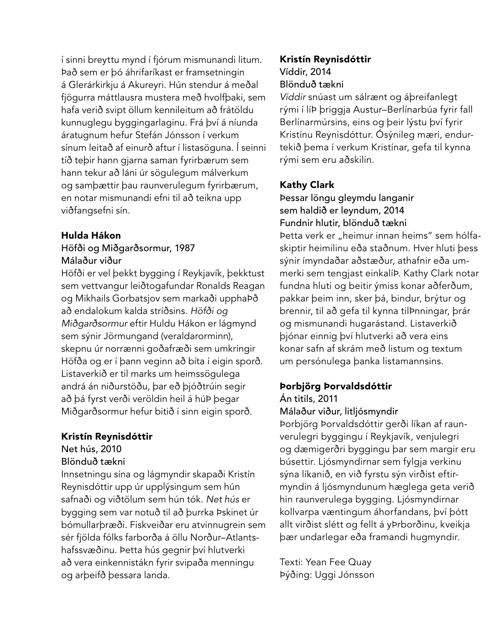í sinni breyttu mynd í fjórum mismunandi litum. Það sem er þó áhrifaríkast er framsetningin á Glerárkirkju á Akureyri. Hún stendur á meðal fjögurra máttlausra mustera með hvolfþaki, sem hafa verið svipt öllum kennileitum að frátöldu kunnuglegu byggingarlaginu. Frá því á níunda áratugnum hefur Stefán Jónsson í verkum sínum leitað af einurð aftur í listasöguna. Í seinni tíð tebir hann gjarna saman fyrirbærum sem hann tekur að láni úr sögulegum málverkum og samþættir þau raunverulegum fyrirbærum, en notar mismunandi efni til að teikna upp viðfangsefni sín.

#### Hulda Hákon Höfði og Miðgarðsormur, 1987 Málaður viður

Höfði er vel þekkt bygging í Reykjavík, þekktust sem vettvangur leiðtogafundar Ronalds Reagan og Mikhails Gorbatsjov sem markaði upphabð að endalokum kalda stríðsins. Höfði og Miðgarðsormur eftir Huldu Hákon er lágmynd sem sýnir Jörmungand (veraldarorminn), skepnu úr norrænni goðafræði sem umkringir Höfða og er í þann veginn að bíta í eigin sporð. Listaverkið er til marks um heimssögulega andrá án niðurstöðu, þar eð þjóðtrúin segir að þá fyrst verði veröldin heil á húÞ þegar Miðgarðsormur hefur bitið í sinn eigin sporð.

## Kristín Reynisdóttir

Net hús, 2010

## Blönduð tækni

Innsetningu sína og lágmyndir skapaði Kristín Reynisdóttir upp úr upplýsingum sem hún safnaði og viðtölum sem hún tók. Net hús er bygging sem var notuð til að burrka Þskinet úr bómullarþræði. Fiskveiðar eru atvinnugrein sem sér fjölda fólks farborða á öllu Norður–Atlantshafssvæðinu. Þetta hús gegnir því hlutverki að vera einkennistákn fyrir svipaða menningu og arbeifð þessara landa.

## Kristín Reynisdóttir Víddir, 2014 Blönduð tækni

Víddir snúast um sálrænt og áþreifanlegt rými í líÞ þriggja Austur-Berlínarbúa fyrir fall Berlínarmúrsins, eins og þeir lýstu því fyrir Kristínu Reynisdóttur. Ósýnileg mæri, endurtekið þema í verkum Kristínar, gefa til kynna rými sem eru aðskilin.

## Kathy Clark

Þessar löngu gleymdu langanir sem haldið er leyndum, 2014 Fundnir hlutir, blönduð tækni Þetta verk er "heimur innan heims" sem hólfaskiptir heimilinu eða staðnum. Hver hluti þess sýnir ímyndaðar aðstæður, athafnir eða ummerki sem tengjast einkalíÞ. Kathy Clark notar fundna hluti og beitir ýmiss konar aðferðum, pakkar þeim inn, sker þá, bindur, brýtur og brennir, til að gefa til kynna tilÞnningar, þrár og mismunandi hugarástand. Listaverkið þjónar einnig því hlutverki að vera eins konar safn af skrám með listum og textum um persónulega þanka listamannsins.

## Þorbjörg Þorvaldsdóttir

Án titils, 2011

#### Málaður viður, litljósmyndir

Þorbjörg Þorvaldsdóttir gerði líkan af raunverulegri byggingu í Reykjavík, venjulegri og dæmigerðri byggingu þar sem margir eru búsettir. Ljósmyndirnar sem fylgja verkinu sýna líkanið, en við fyrstu sýn virðist eftirmyndin á ljósmyndunum hæglega geta verið hin raunverulega bygging. Ljósmyndirnar kollvarpa væntingum áhorfandans, því þótt allt virðist slétt og fellt á yÞrborðinu, kveikja þær undarlegar eða framandi hugmyndir.

Texti: Yean Fee Quay Þýðing: Uggi Jónsson